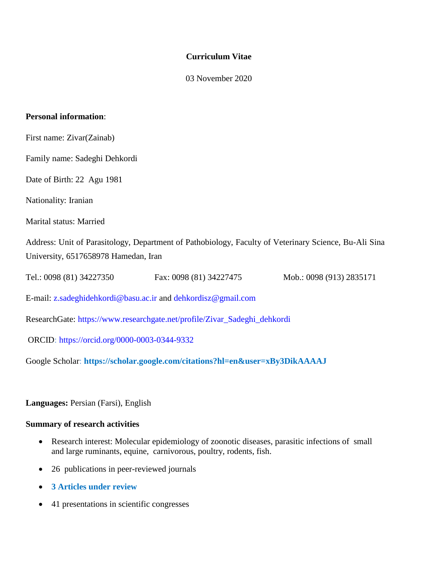### **Curriculum Vitae**

03 November 2020

#### **Personal information**:

- First name: Zivar(Zainab)
- Family name: Sadeghi Dehkordi
- Date of Birth: 22 Agu 1981
- Nationality: Iranian

#### Marital status: Married

Address: Unit of Parasitology, Department of Pathobiology, Faculty of Veterinary Science, Bu-Ali Sina University, 6517658978 Hamedan, Iran

Tel.: 0098 (81) 34227350 Fax: 0098 (81) 34227475 Mob.: 0098 (913) 2835171

E-mail: [z.sadeghidehkordi@basu.ac.ir](mailto:z.sadeghidehkordi@basu.ac.ir) and [dehkordisz@gmail.com](mailto:dehkordisz@gmail.com)

ResearchGate: [https://www.researchgate.net/profile/Zivar\\_Sadeghi\\_dehkordi](https://www.researchgate.net/profile/Zivar_Sadeghi_dehkordi)

ORCID:<https://orcid.org/0000-0003-0344-9332>

Google Scholar: **https://scholar.google.com/citations?hl=en&user=xBy3DikAAAAJ**

**Languages:** Persian (Farsi), English

#### **Summary of research activities**

- Research interest: Molecular epidemiology of zoonotic diseases, parasitic infections of small and large ruminants, equine, carnivorous, poultry, rodents, fish.
- 26 publications in peer-reviewed journals
- **3 Articles under review**
- 41 presentations in scientific congresses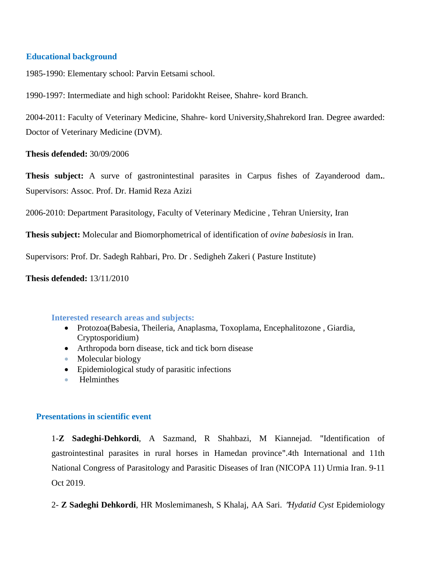### **Educational background**

1985-1990: Elementary school: Parvin Eetsami school.

1990-1997: Intermediate and high school: Paridokht Reisee, Shahre- kord Branch.

2004-2011: Faculty of Veterinary Medicine, Shahre- kord University,Shahrekord Iran. Degree awarded: Doctor of Veterinary Medicine (DVM).

**Thesis defended:** 30/09/2006

**Thesis subject:** A surve of gastronintestinal parasites in Carpus fishes of Zayanderood dam**.**. Supervisors: Assoc. Prof. Dr. Hamid Reza Azizi

2006-2010: Department Parasitology, Faculty of Veterinary Medicine , Tehran Uniersity, Iran

**Thesis subject:** Molecular and Biomorphometrical of identification of *ovine babesiosis* in Iran.

Supervisors: Prof. Dr. Sadegh Rahbari, Pro. Dr . Sedigheh Zakeri ( Pasture Institute)

**Thesis defended:** 13/11/2010

### **Interested research areas and subjects:**

- Protozoa(Babesia, Theileria, Anaplasma, Toxoplama, Encephalitozone , Giardia, Cryptosporidium)
- Arthropoda born disease, tick and tick born disease
- Molecular biology
- Epidemiological study of parasitic infections
- **Helminthes**

### **Presentations in scientific event**

1-**Z Sadeghi-Dehkordi**, A Sazmand, R Shahbazi, M Kiannejad. "Identification of gastrointestinal parasites in rural horses in Hamedan province".4th International and 11th National Congress of Parasitology and Parasitic Diseases of Iran (NICOPA 11) Urmia Iran. 9-11 Oct 2019.

2- **Z Sadeghi Dehkordi**, HR Moslemimanesh, S Khalaj, AA Sari. "*Hydatid Cyst* Epidemiology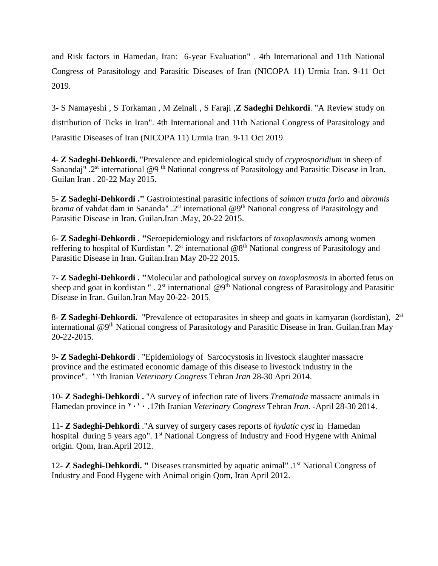and Risk factors in Hamedan, Iran: 6-year Evaluation" . 4th International and 11th National Congress of Parasitology and Parasitic Diseases of Iran (NICOPA 11) Urmia Iran. 9-11 Oct 2019.

3- S Namayeshi , S Torkaman , M Zeinali , S Faraji ,**Z Sadeghi Dehkordi**. "A Review study on distribution of Ticks in Iran". 4th International and 11th National Congress of Parasitology and Parasitic Diseases of Iran (NICOPA 11) Urmia Iran. 9-11 Oct 2019.

4- **Z Sadeghi-Dehkordi.** "Prevalence and epidemiological study of *cryptosporidium* in sheep of Sanandaj" .2<sup>st</sup> international @9<sup>th</sup> National congress of Parasitology and Parasitic Disease in Iran. Guilan Iran . 20-22 May 2015.

5- **Z Sadeghi-Dehkordi ."** Gastrointestinal parasitic infections of *salmon trutta fario* and *abramis brama* of vahdat dam in Sananda" .2<sup>st</sup> international @9<sup>th</sup> National congress of Parasitology and Parasitic Disease in Iran. Guilan.Iran .May, 20-22 2015.

6- **Z Sadeghi-Dehkordi . "**Seroepidemiology and riskfactors of *toxoplasmosis* among women reffering to hospital of Kurdistan ".  $2<sup>st</sup>$  international  $@8<sup>th</sup>$  National congress of Parasitology and Parasitic Disease in Iran. Guilan.Iran May 20-22 2015.

7- **Z Sadeghi-Dehkordi . "**Molecular and pathological survey on *toxoplasmosis* in aborted fetus on sheep and goat in kordistan " .  $2<sup>st</sup>$  international  $@9<sup>th</sup>$  National congress of Parasitology and Parasitic Disease in Iran. Guilan.Iran May 20-22- 2015.

8- **Z Sadeghi-Dehkordi.** "Prevalence of ectoparasites in sheep and goats in kamyaran (kordistan), 2<sup>st</sup> international  $\omega^{0}$ <sup>th</sup> National congress of Parasitology and Parasitic Disease in Iran. Guilan.Iran May 20-22-2015*.*

9- **Z Sadeghi-Dehkordi** . "Epidemiology of Sarcocystosis in livestock slaughter massacre province and the estimated economic damage of this disease to livestock industry in the province". 17th Iranian *Veterinary Congress* Tehran *Iran* 28-30 Apri 2014.

10- **Z Sadeghi-Dehkordi .** "A survey of infection rate of livers *Trematoda* massacre animals in Hamedan province in 2010 .17th Iranian *Veterinary Congress* Tehran *Iran*. -April 28-30 2014.

11- **Z Sadeghi-Dehkordi** ."A survey of surgery cases reports of *hydatic cyst* in Hamedan hospital during 5 years ago". 1<sup>st</sup> National Congress of Industry and Food Hygene with Animal origin. Qom, Iran.April 2012.

12- Z Sadeghi-Dehkordi. " Diseases transmitted by aquatic animal" .1<sup>st</sup> National Congress of Industry and Food Hygene with Animal origin Qom, Iran April 2012.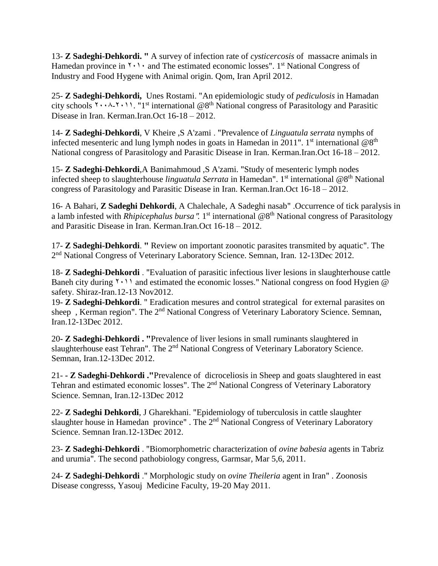13- **Z Sadeghi-Dehkordi. "** A survey of infection rate of *cysticercosis* of massacre animals in Hamedan province in  $\gamma \cdot \cdot \cdot$  and The estimated economic losses". 1<sup>st</sup> National Congress of Industry and Food Hygene with Animal origin. Qom, Iran April 2012.

25- **Z Sadeghi-Dehkordi,** Unes Rostami. "An epidemiologic study of *pediculosis* in Hamadan city schools  $\{\cdots, \cdots, \cdots\}$ . "1<sup>st</sup> international @8<sup>th</sup> National congress of Parasitology and Parasitic Disease in Iran. Kerman.Iran.Oct 16-18 – 2012.

14- **Z Sadeghi-Dehkordi**, V Kheire ,S A'zami . "Prevalence of *Linguatula serrata* nymphs of infected mesenteric and lung lymph nodes in goats in Hamedan in 2011". 1<sup>st</sup> international @8<sup>th</sup> National congress of Parasitology and Parasitic Disease in Iran. Kerman.Iran.Oct 16-18 – 2012.

15- **Z Sadeghi-Dehkordi**,A Banimahmoud ,S A'zami. "Study of mesenteric lymph nodes infected sheep to slaughterhouse *linguatula Serrata* in Hamedan". 1<sup>st</sup> international @8<sup>th</sup> National congress of Parasitology and Parasitic Disease in Iran. Kerman.Iran.Oct 16-18 – 2012.

16- A Bahari, **Z Sadeghi Dehkordi**, A Chalechale, A Sadeghi nasab" .Occurrence of tick paralysis in a lamb infested with *Rhipicephalus bursa*". 1<sup>st</sup> international @8<sup>th</sup> National congress of Parasitology and Parasitic Disease in Iran. Kerman.Iran*.*Oct 16-18 – 2012.

17- **Z Sadeghi-Dehkordi**. **"** Review on important zoonotic parasites transmited by aquatic". The 2<sup>nd</sup> National Congress of Veterinary Laboratory Science. Semnan, Iran. 12-13Dec 2012.

18- **Z Sadeghi-Dehkordi** . "Evaluation of parasitic infectious liver lesions in slaughterhouse cattle Baneh city during  $\gamma \cdot \gamma$  and estimated the economic losses." National congress on food Hygien @ safety. Shiraz-Iran.12-13 Nov2012.

19- **Z Sadeghi-Dehkordi**. " Eradication mesures and control strategical for external parasites on sheep, Kerman region". The 2<sup>nd</sup> National Congress of Veterinary Laboratory Science. Semnan, Iran.12-13Dec 2012.

20**- Z Sadeghi-Dehkordi . "**Prevalence of liver lesions in small ruminants slaughtered in slaughterhouse east Tehran". The 2<sup>nd</sup> National Congress of Veterinary Laboratory Science. Semnan, Iran.12-13Dec 2012.

21- **- Z Sadeghi-Dehkordi ."**Prevalence of dicroceliosis in Sheep and goats slaughtered in east Tehran and estimated economic losses". The 2<sup>nd</sup> National Congress of Veterinary Laboratory Science. Semnan, Iran.12-13Dec 2012

22- **Z Sadeghi Dehkordi**, J Gharekhani. "Epidemiology of tuberculosis in cattle slaughter slaughter house in Hamedan province" . The 2<sup>nd</sup> National Congress of Veterinary Laboratory Science. Semnan Iran.12-13Dec 2012.

23- **Z Sadeghi-Dehkordi** . "Biomorphometric characterization of *ovine babesia* agents in Tabriz and urumia". The second pathobiology congress, Garmsar, Mar 5,6, 2011.

24- **Z Sadeghi-Dehkordi** ." Morphologic study on *ovine Theileria* agent in Iran" . Zoonosis Disease congresss, Yasouj Medicine Faculty, 19-20 May 2011.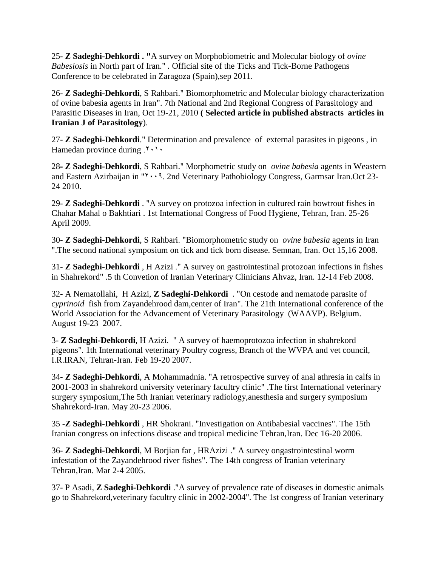25**- Z Sadeghi-Dehkordi . "**A survey on Morphobiometric and Molecular biology of *ovine Babesiosis* in North part of Iran." *.* Official site of the Ticks and Tick-Borne Pathogens Conference to be celebrated in Zaragoza (Spain),sep 2011.

26- **Z Sadeghi-Dehkordi**, S Rahbari." Biomorphometric and Molecular biology characterization of ovine babesia agents in Iran". 7th National and 2nd Regional Congress of Parasitology and Parasitic Diseases in Iran, Oct 19-21, 2010 **( Selected article in published abstracts articles in Iranian J of Parasitology**).

27- **Z Sadeghi-Dehkordi**." Determination and prevalence of external parasites in pigeons , in Hamedan province during  $.7 \cdot 1 \cdot$ 

28**- Z Sadeghi-Dehkordi**, S Rahbari." Morphometric study on *ovine babesia* agents in Weastern and Eastern Azirbaijan in " $\cdots$ 9. 2nd Veterinary Pathobiology Congress, Garmsar Iran.Oct 23-24 2010.

29- **Z Sadeghi-Dehkordi** . "A survey on protozoa infection in cultured rain bowtrout fishes in Chahar Mahal o Bakhtiari . 1st International Congress of Food Hygiene, Tehran, Iran. 25-26 April 2009.

30- **Z Sadeghi-Dehkordi**, S Rahbari. "Biomorphometric study on *ovine babesia* agents in Iran ".The second national symposium on tick and tick born disease. Semnan, Iran. Oct 15,16 2008.

31- **Z Sadeghi-Dehkordi** , H Azizi ." A survey on gastrointestinal protozoan infections in fishes in Shahrekord" .5 th Convetion of Iranian Veterinary Clinicians Ahvaz, Iran. 12-14 Feb 2008.

32- A Nematollahi, H Azizi, **Z Sadeghi-Dehkordi** . "On cestode and nematode parasite of *cyprinoid* fish from Zayandehrood dam,center of Iran". The 21th International conference of the World Association for the Advancement of Veterinary Parasitology (WAAVP). Belgium. August 19-23 2007.

3- **Z Sadeghi-Dehkordi**, H Azizi. " A survey of haemoprotozoa infection in shahrekord pigeons". 1th International veterinary Poultry cogress, Branch of the WVPA and vet council, I.R.IRAN, Tehran-Iran. Feb 19-20 2007.

34- **Z Sadeghi-Dehkordi**, A Mohammadnia. "A retrospective survey of anal athresia in calfs in 2001-2003 in shahrekord university veterinary facultry clinic" .The first International veterinary surgery symposium,The 5th Iranian veterinary radiology,anesthesia and surgery symposium Shahrekord-Iran. May 20-23 2006.

35 **-Z Sadeghi-Dehkordi** , HR Shokrani. "Investigation on Antibabesial vaccines". The 15th Iranian congress on infections disease and tropical medicine Tehran,Iran. Dec 16-20 2006.

36- **Z Sadeghi-Dehkordi**, M Borjian far , HRAzizi ." A survey ongastrointestinal worm infestation of the Zayandehrood river fishes". The 14th congress of Iranian veterinary Tehran,Iran. Mar 2-4 2005.

37- P Asadi, **Z Sadeghi-Dehkordi** ."A survey of prevalence rate of diseases in domestic animals go to Shahrekord,veterinary facultry clinic in 2002-2004". The 1st congress of Iranian veterinary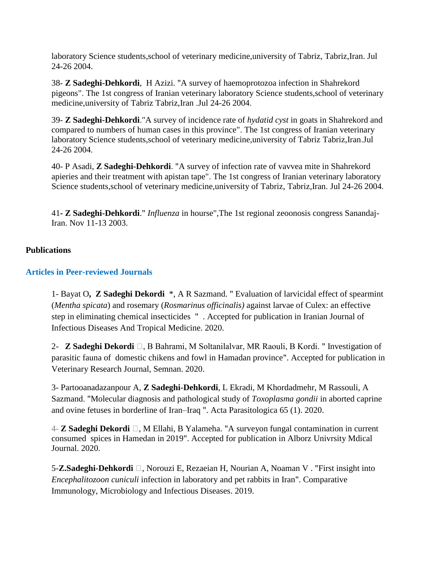laboratory Science students,school of veterinary medicine,university of Tabriz, Tabriz,Iran. Jul 24-26 2004.

38- **Z Sadeghi-Dehkordi**, H Azizi. "A survey of haemoprotozoa infection in Shahrekord pigeons". The 1st congress of Iranian veterinary laboratory Science students,school of veterinary medicine,university of Tabriz Tabriz,Iran .Jul 24-26 2004.

39- **Z Sadeghi-Dehkordi**."A survey of incidence rate of *hydatid cyst* in goats in Shahrekord and compared to numbers of human cases in this province". The 1st congress of Iranian veterinary laboratory Science students,school of veterinary medicine,university of Tabriz Tabriz,Iran.Jul 24-26 2004.

40- P Asadi, **Z Sadeghi-Dehkordi**. "A survey of infection rate of vavvea mite in Shahrekord apieries and their treatment with apistan tape". The 1st congress of Iranian veterinary laboratory Science students, school of veterinary medicine, university of Tabriz, Tabriz, Iran. Jul 24-26 2004.

41**- Z Sadeghi-Dehkordi**." *Influenza* in hourse",The 1st regional zeoonosis congress Sanandaj-Iran. Nov 11-13 2003.

# **Publications**

# **Articles in Peer-reviewed Journals**

1- Bayat O**, Z Sadeghi Dekordi** \*, A R Sazmand. " [Evaluation of larvicidal effect of spearmint](javascript:void(0))  (*Mentha spicata*) and rosemary (*Rosmarinus officinalis)* [against larvae of Culex: an effective](javascript:void(0))  [step in eliminating chemical insecticides](javascript:void(0)) " . Accepted for publication in Iranian Journal of Infectious Diseases And Tropical Medicine. 2020.

2- **Z Sadeghi Dekordi** ⁎, B Bahrami, M Soltanilalvar, MR Raouli, B Kordi. " Investigation of parasitic fauna of domestic chikens and fowl in Hamadan province". Accepted for publication in Veterinary Research Journal, Semnan. 2020.

3- Partooanadazanpour A, **Z Sadeghi-Dehkordi**, L Ekradi, M Khordadmehr, M Rassouli, A Sazmand. ["Molecular diagnosis and pathological study of](javascript:void(0)) *Toxoplasma gondii* in aborted caprine [and ovine fetuses in borderline of Iran–Iraq](javascript:void(0)) ". Acta Parasitologica 65 (1). 2020.

4- **Z Sadeghi Dekordi** ⁎, M Ellahi, B Yalameha. "A surveyon fungal contamination in current consumed spices in Hamedan in 2019". Accepted for publication in Alborz Univrsity Mdical Journal. 2020.

5-**Z.Sadeghi-Dehkordi ⁎**, Norouzi E, Rezaeian H, Nourian A, Noaman V . ["First insight into](javascript:void(0))  *Encephalitozoon cuniculi* [infection in laboratory and pet rabbits in Iran"](javascript:void(0)). [Comparative](https://www.sciencedirect.com/journal/comparative-immunology-microbiology-and-infectious-diseases)  [Immunology, Microbiology and Infectious Diseases. 2019.](https://www.sciencedirect.com/journal/comparative-immunology-microbiology-and-infectious-diseases)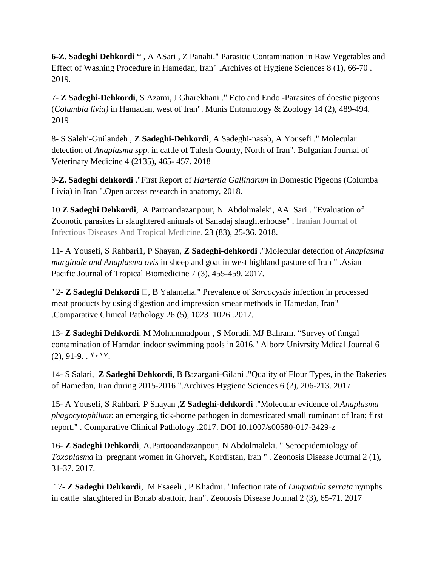**6-Z. Sadeghi Dehkordi** \* , A ASari , Z Panahi." [Parasitic Contamination in Raw Vegetables and](javascript:void(0))  [Effect of Washing Procedure in Hamedan, Iran"](javascript:void(0)) .Archives of Hygiene Sciences 8 (1), 66-70 . 2019.

7- **Z Sadeghi-Dehkordi**, S Azami, J Gharekhani ." [Ecto and Endo -Parasites of doestic pigeons](javascript:void(0))  (*Columbia livia)* [in Hamadan, west of Iran"](javascript:void(0)). Munis Entomology & Zoology 14 (2), 489-494. 2019

8- S Salehi-Guilandeh , **Z Sadeghi-Dehkordi**, A Sadeghi-nasab, A Yousefi ." [Molecular](javascript:void(0))  detection of *Anaplasma spp*[. in cattle of Talesh County, North of Iran"](javascript:void(0)). Bulgarian Journal of Veterinary Medicine 4 (2135), 465- 457. 2018

9-**Z. Sadeghi dehkordi** ."First Report of *Hartertia Gallinarum* [in Domestic Pigeons \(Columba](javascript:void(0))  [Livia\) in Iran](javascript:void(0)) ".Open access research in anatomy, 2018.

10 **Z Sadeghi Dehkordi**, A Partoandazanpour, N Abdolmaleki, AA Sari . ["Evaluation of](javascript:void(0))  [Zoonotic parasites in slaughtered animals of Sanadaj slaughterhouse"](javascript:void(0)) . Iranian Journal of Infectious Diseases And Tropical Medicine. 23 (83), 25-36. 2018.

11- A Yousefi, S Rahbari1, P Shayan, **Z Sadeghi-dehkordi** .["Molecular detection of](javascript:void(0)) *Anaplasma marginale and Anaplasma ovis* [in sheep and goat in west highland pasture of Iran](javascript:void(0)) " .Asian Pacific Journal of Tropical Biomedicine 7 (3), 455-459. 2017.

12- **Z Sadeghi Dehkordi ⁎**, B Yalameha." Prevalence of *Sarcocystis* [infection in processed](javascript:void(0))  [meat products by using digestion and impression smear methods in Hamedan, Iran"](javascript:void(0)) .Comparative Clinical Pathology 26 (5), 1023–1026 .2017.

13- **Z Sadeghi Dehkordi**, M Mohammadpour [, S Moradi, MJ Bahram.](javascript:void(0)) "Survey of fungal [contamination of Hamdan indoor swimming pools in 2016.](javascript:void(0))" Alborz Univrsity Mdical Journal 6  $(2), 91-9.$ .  $7.1$ 

14- S Salari, **Z Sadeghi Dehkordi**, B Bazargani-Gilani .["Quality of Flour Types, in the Bakeries](javascript:void(0))  [of Hamedan, Iran during 2015-2016](javascript:void(0)) ".Archives Hygiene Sciences 6 (2), 206-213. 2017

15- A Yousefi, S Rahbari, P Shayan ,**Z Sadeghi-dehkordi** ."Molecular evidence of *Anaplasma phagocytophilum*: an emerging tick-borne pathogen in domesticated small ruminant of Iran; first report." . Comparative Clinical Pathology .2017. DOI 10.1007/s00580-017-2429-z

16- **Z Sadeghi Dehkordi**, A.Partooandazanpour, N Abdolmaleki. " [Seroepidemiology of](javascript:void(0))  *Toxoplasma* [in pregnant women in Ghorveh, Kordistan, Iran](javascript:void(0)) " . Zeonosis Disease Journal 2 (1), 31-37. 2017.

17- **Z Sadeghi Dehkordi**, M Esaeeli , P Khadmi. "Infection rate of *[Linguatula serrata](javascript:void(0))* nymphs [in cattle slaughtered in Bonab abattoir, Iran"](javascript:void(0)). Zeonosis Disease Journal 2 (3), 65-71. 2017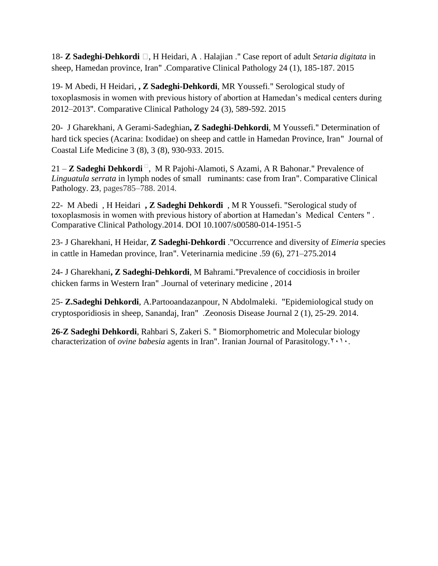18- **Z Sadeghi-Dehkordi ⁎**, H Heidari, A . Halajian ." [Case report of adult](javascript:void(0)) *Setaria digitata* in [sheep, Hamedan province, Iran"](javascript:void(0)) .Comparative Clinical Pathology 24 (1), 185-187. 2015

19- M Abedi, H Heidari, **, Z Sadeghi-Dehkordi**, MR Youssefi." [Serological study of](javascript:void(0))  [toxoplasmosis in women with previous history of abortion at Hamedan's medical centers during](javascript:void(0))  [2012–2013"](javascript:void(0)). Comparative Clinical Pathology 24 (3), 589-592. 2015

20- J Gharekhani, A Gerami-Sadeghian**, Z Sadeghi-Dehkordi**, M Youssefi." [Determination of](javascript:void(0))  [hard tick species \(Acarina: Ixodidae\) on sheep and cattle in Hamedan Province, Iran"](javascript:void(0)) Journal of Coastal Life Medicine 3 (8), 3 (8), 930-933. 2015.

21 **− Z Sadeghi Dehkordi**<sup>□</sup>, M R Pajohi-Alamoti, S Azami, A R Bahonar." Prevalence of *Linguatula serrata* in lymph nodes of small ruminants: case from Iran". Comparative Clinical Pathology. **23**, pages785–788. 2014.

22- M Abedi , H Heidari **, Z Sadeghi Dehkordi** , M R Youssefi. "Serological study of toxoplasmosis in women with previous history of abortion at Hamedan's Medical Centers " . Comparative Clinical Pathology.2014. DOI 10.1007/s00580-014-1951-5

23- J Gharekhani, H Heidar, **Z Sadeghi-Dehkordi** .["Occurrence and diversity of](javascript:void(0)) *Eimeria* species [in cattle in Hamedan province, Iran"](javascript:void(0)). Veterinarnia medicine .59 (6), 271–275.2014

24- J Gharekhani**, Z Sadeghi-Dehkordi**, M Bahrami.["Prevalence of coccidiosis in broiler](javascript:void(0))  [chicken farms in Western Iran"](javascript:void(0)) .Journal of veterinary medicine , 2014

25- **Z.Sadeghi Dehkordi**, A.Partooandazanpour, N Abdolmaleki. ["Epidemiological study on](javascript:void(0))  [cryptosporidiosis in sheep, Sanandaj, Iran"](javascript:void(0)) .Zeonosis Disease Journal 2 (1), 25-29. 2014.

**26-Z Sadeghi Dehkordi**, Rahbari S, Zakeri S. " Biomorphometric and Molecular biology characterization of *ovine babesia* agents in Iran". Iranian Journal of Parasitology.<sup> $\gamma \cdot \gamma$ </sup>.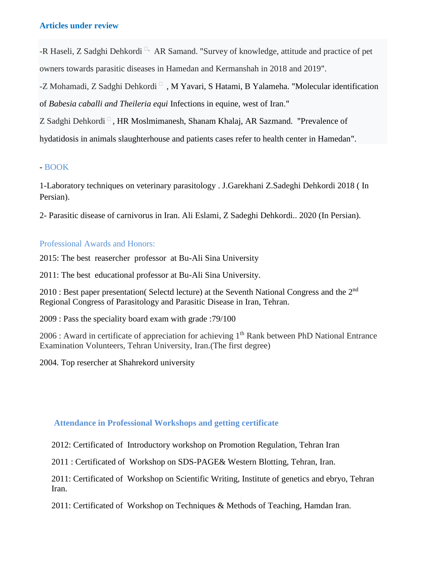### **Articles under review**

-R Haseli, Z Sadghi Dehkordi<sup>[]</sup>, AR Samand. "Survey of knowledge, attitude and practice of pet owners towards parasitic diseases in Hamedan and Kermanshah in 2018 and 2019".

-Z Mohamadi, Z Sadghi Dehkordi $\Box$ , M Yavari, S Hatami, B Yalameha. "Molecular identification of *Babesia caballi and Theileria equi* Infections in equine, west of Iran."

Z Sadghi Dehkordi  $\Box$ , HR Moslmimanesh, Shanam Khalaj, AR Sazmand. "Prevalence of

hydatidosis in animals slaughterhouse and patients cases refer to health center in Hamedan".

### - BOOK

1[-Laboratory techniques on veterinary parasitology](javascript:void(0)) . J.Garekhani Z.Sadeghi Dehkordi 2018 ( In Persian).

2- Parasitic disease of carnivorus in Iran. Ali Eslami, Z Sadeghi Dehkordi.. 2020 (In Persian).

# Professional Awards and Honors:

2015: The best reasercher professor at Bu-Ali Sina University

2011: The best educational professor at Bu-Ali Sina University.

 $2010$ : Best paper presentation( Selectd lecture) at the Seventh National Congress and the  $2<sup>nd</sup>$ Regional Congress of Parasitology and Parasitic Disease in Iran, Tehran.

2009 : Pass the speciality board exam with grade :79/100

 $2006$ : Award in certificate of appreciation for achieving  $1<sup>th</sup>$  Rank between PhD National Entrance Examination Volunteers, Tehran University, Iran.(The first degree)

2004. Top resercher at Shahrekord university

### **Attendance in Professional Workshops and getting certificate**

2012: Certificated of Introductory workshop on Promotion Regulation, Tehran Iran

2011 : Certificated of Workshop on SDS-PAGE& Western Blotting, Tehran, Iran.

2011: Certificated of Workshop on Scientific Writing, Institute of genetics and ebryo, Tehran Iran.

2011: Certificated of Workshop on Techniques & Methods of Teaching, Hamdan Iran.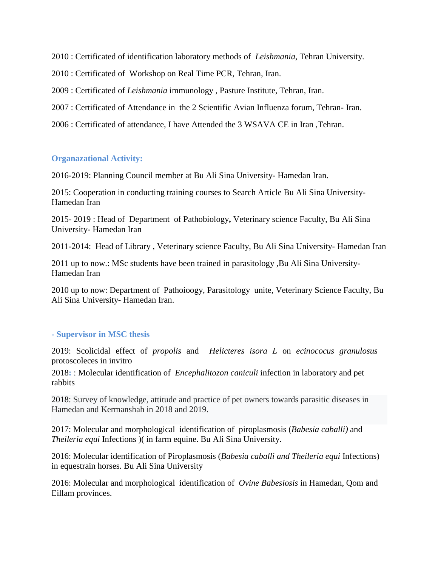2010 : Certificated of identification laboratory methods of *Leishmania*, Tehran University.

2010 : Certificated of Workshop on Real Time PCR, Tehran, Iran.

2009 : Certificated of *Leishmania* immunology , Pasture Institute, Tehran, Iran.

2007 : Certificated of Attendance in the 2 Scientific Avian Influenza forum, Tehran- Iran.

2006 : Certificated of attendance, I have Attended the 3 WSAVA CE in Iran ,Tehran.

#### **Organazational Activity:**

2016-2019: Planning Council member at Bu Ali Sina University- Hamedan Iran.

2015: Cooperation in conducting training courses to Search Article Bu Ali Sina University-Hamedan Iran

2015- 2019 : Head of Department of Pathobiology**,** Veterinary science Faculty, Bu Ali Sina University- Hamedan Iran

2011-2014: Head of Library , Veterinary science Faculty, Bu Ali Sina University- Hamedan Iran

2011 up to now.: MSc students have been trained in parasitology ,Bu Ali Sina University-Hamedan Iran

2010 up to now: Department of Pathoioogy, Parasitology unite, Veterinary Science Faculty, Bu Ali Sina University- Hamedan Iran.

### **- Supervisor in MSC thesis**

2019: Scolicidal effect of *propolis* and *Helicteres isora L* on *ecinococus granulosus* protoscoleces in invitro

2018**:** : Molecular identification of *Encephalitozon caniculi* infection in laboratory and pet rabbits

2018: Survey of knowledge, attitude and practice of pet owners towards parasitic diseases in Hamedan and Kermanshah in 2018 and 2019.

2017: Molecular and morphological identification of piroplasmosis (*Babesia caballi)* and *Theileria equi* Infections )( in farm equine. Bu Ali Sina University.

2016: Molecular identification of Piroplasmosis (*Babesia caballi and Theileria equi* Infections) in equestrain horses. Bu Ali Sina University

2016: Molecular and morphological identification of *Ovine Babesiosis* in Hamedan, Qom and Eillam provinces.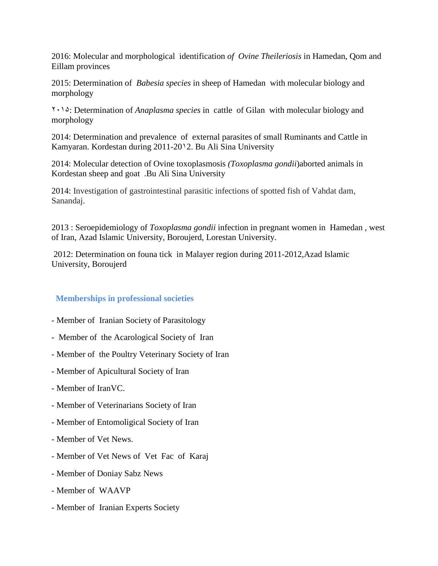2016: Molecular and morphological identification *of Ovine Theileriosis* in Hamedan, Qom and Eillam provinces

2015: Determination of *Babesia species* in sheep of Hamedan with molecular biology and morphology

2015: Determination of *Anaplasma species* in cattle of Gilan with molecular biology and morphology

2014: Determination and prevalence of external parasites of small Ruminants and Cattle in Kamyaran. Kordestan during 2011-2012. Bu Ali Sina University

2014: Molecular detection of Ovine toxoplasmosis *(Toxoplasma gondii*)aborted animals in Kordestan sheep and goat .Bu Ali Sina University

2014: Investigation of gastrointestinal parasitic infections of spotted fish of Vahdat dam, Sanandaj.

2013 : Seroepidemiology of *Toxoplasma gondii* infection in pregnant women in Hamedan , west of Iran, Azad Islamic University, Boroujerd, Lorestan University.

2012: Determination on founa tick in Malayer region during 2011-2012,Azad Islamic University, Boroujerd

# **Memberships in professional societies**

- Member of Iranian Society of Parasitology
- Member of the Acarological Society of Iran
- Member of the Poultry Veterinary Society of Iran
- Member of Apicultural Society of Iran
- Member of IranVC.
- Member of Veterinarians Society of Iran
- Member of Entomoligical Society of Iran
- Member of Vet News.
- Member of Vet News of Vet Fac of Karaj
- Member of Doniay Sabz News
- Member of WAAVP
- Member of Iranian Experts Society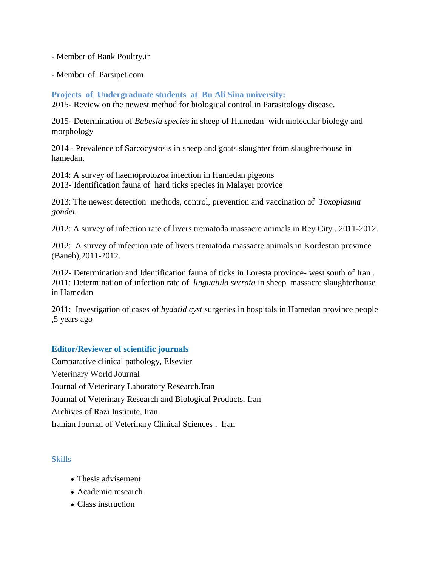### - Member of Bank Poultry.ir

- Member of Parsipet.com

**Projects of Undergraduate students at Bu Ali Sina university:** 2015- Review on the newest method for biological control in Parasitology disease.

2015- Determination of *Babesia species* in sheep of Hamedan with molecular biology and morphology

2014 - Prevalence of Sarcocystosis in sheep and goats slaughter from slaughterhouse in hamedan.

2014: A survey of haemoprotozoa infection in Hamedan pigeons 2013- Identification fauna of hard ticks species in Malayer provice

2013: The newest detection methods, control, prevention and vaccination of *Toxoplasma gondei.*

2012: A survey of infection rate of livers trematoda massacre animals in Rey City , 2011-2012.

2012: A survey of infection rate of livers trematoda massacre animals in Kordestan province (Baneh),2011-2012.

2012- Determination and Identification fauna of ticks in Loresta province- west south of Iran . 2011: Determination of infection rate of *linguatula serrata* in sheep massacre slaughterhouse in Hamedan

2011: Investigation of cases of *hydatid cyst* surgeries in hospitals in Hamedan province people ,5 years ago

# **Editor/Reviewer of scientific journals**

Comparative clinical pathology, Elsevier Veterinary World Journal Journal of Veterinary Laboratory Research.Iran Journal of Veterinary Research and Biological Products, Iran Archives of Razi Institute, Iran Iranian Journal of Veterinary Clinical Sciences , Iran

# [Skills](https://archrazi.areeo.ac.ir/)

- [Thesis advisement](https://archrazi.areeo.ac.ir/)
- [Academic research](https://archrazi.areeo.ac.ir/)
- [Class instruction](https://archrazi.areeo.ac.ir/)